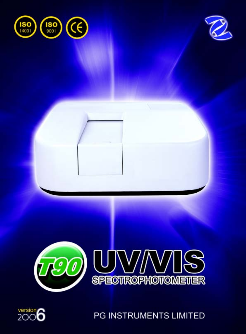







PG INSTRUMENTS LIMITED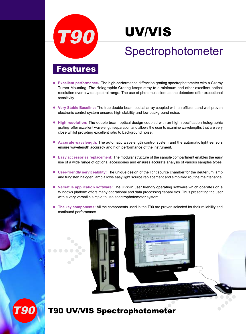

## UV/VIS

## Spectrophotometer

#### **Features**

- **Excellent performance** The high-performance diffraction grating spectrophotometer with a Czerny Turner Mounting. The Holographic Grating keeps stray to a minimum and other excellent optical resolution over a wide spectral range. The use of photomultipliers as the detectors offer exceptional sensitivity.
- **Very Stable Baseline:** The true double-beam optical array coupled with an efficient and well proven electronic control system ensures high stability and low background noise.
- **High resolution:** The double beam optical design coupled with an high specification holographic grating offer excellent wavelength separation and allows the user to examine wavelengths that are very close whilst providing excellent ratio to background noise.
- **Accurate wavelength:** The automatic wavelength control system and the automatic light sensors ensure wavelength accuracy and high performance of the instrument.
- **Easy accessories replacement:** The modular structure of the sample compartment enables the easy use of a wide range of optional accessories and ensures accurate analysis of various samples types.
- **User-friendly serviceability:** The unique design of the light source chamber for the deuterium lamp and tungsten halogen lamp allows easy light source replacement and simplified routine maintenance.
- **Versatile application software:** The UVWin user friendly operating software which operates on a Windows platform offers many operational and data processing capabilities. Thus presenting the user with a very versatile simple to use spectrophotometer system.
- **The key components:** All the components used in the T90 are proven selected for their reliability and continued performance.

 $\bullet$ 

# T90

#### T90 UV/VIS Spectrophotometer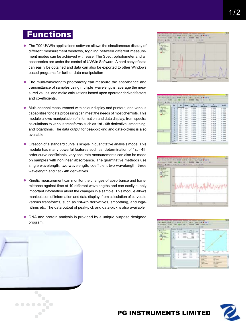### **Functions**

- The T90 UVWin applications software allows the simultaneous display of different measurement windows, toggling between different measurement modes can be achieved with ease. The Spectrophotometer and all accessories are under the control of UVWin Software. A hard copy of data can easily be obtained and data can also be exported to other Windows based programs for further data manipulation
- **The multi-wavelength photometry can measure the absorbance and** transmittance of samples using multiple wavelengths, average the measured values, and make calculations based upon operator derived factors and co-efficients.
- Multi-channel measurement with colour display and printout, and various capabilities for data processing can meet the needs of most chemists. This module allows manipulation of information and data display, from spectra calculations to various transforms such as 1st - 4th derivative, smoothing, and logarithms. The data output for peak-picking and data-picking is also available.
- Creation of a standard curve is simple in quantitative analysis mode. This module has many powerful features such as determination of 1st - 4th order curve coefiicients, very accurate measurements can also be made on samples with nonlinear absorbance. The quantitative methods use single wavelength, two-wavelength, coefficient two-wavelength, three wavelength and 1st - 4th derivatives.
- Kinetic measurement can monitor the changes of absorbance and transmittance against time at 10 different wavelengths and can easily supply important information about the changes in a sample. This module allows manipulation of information and data display, from calculation of curves to various transforms, such as 1st-4th derivatives, smoothing, and logarithms etc. The data output of peak-pick and data-pick is also available.
- DNA and protein analysis is provided by a unique purpose designed program.

 $\begin{array}{cccccccccccccc} \bullet & \bullet & \bullet & \bullet & \bullet & \bullet & \bullet \end{array}$ 



| -355<br><b>Bridge Ave</b><br>. |      |             |  |             |             |              |    |
|--------------------------------|------|-------------|--|-------------|-------------|--------------|----|
| <b>PIPER</b>                   |      |             |  |             |             | 49,995.00    |    |
|                                |      | $1 - 1$     |  |             | <b>BOOK</b> | <b>BOOK</b>  |    |
|                                |      |             |  | 1884        |             | <b>SPRE</b>  |    |
|                                |      |             |  | k ni        |             | arm.         |    |
|                                |      |             |  | ы           |             | APRA         |    |
|                                |      |             |  |             |             | oras         |    |
|                                |      |             |  |             | assist      | <b>Links</b> |    |
|                                |      |             |  | <b>ISS</b>  | <b>BAY</b>  | 1000         | m. |
|                                |      |             |  | ٣H          | <b>KOO</b>  | ing.         |    |
|                                |      |             |  | m           | sant 6      | <b>SFTS</b>  | ÷, |
|                                |      |             |  |             | 111         |              |    |
|                                |      |             |  | 844         |             |              |    |
|                                |      | ÷           |  |             |             |              |    |
|                                |      |             |  | 644         |             |              |    |
|                                | m    | <b>LESS</b> |  | w           | 照相          |              |    |
|                                |      | $(1 - 1)$   |  | 664         |             |              |    |
|                                |      | 1813        |  | 1854        | 뻚           |              |    |
|                                |      | $17 - 1$    |  |             |             |              |    |
|                                | all. | 88-1        |  | <b>MALL</b> |             |              |    |